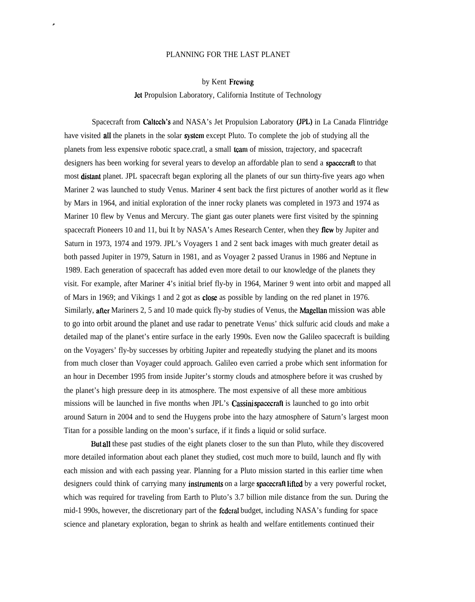## PLANNING FOR THE LAST PLANET

.

by Kent Frewing

Jet Propulsion Laboratory, California Institute of Technology

Spacecraft from Caltech's and NASA's Jet Propulsion Laboratory (JPL) in La Canada Flintridge have visited **all** the planets in the solar **system** except Pluto. To complete the job of studying all the planets from less expensive robotic space.cratl, a small team of mission, trajectory, and spacecraft designers has been working for several years to develop an affordable plan to send a spacecraft to that most **distant** planet. JPL spacecraft began exploring all the planets of our sun thirty-five years ago when Mariner 2 was launched to study Venus. Mariner 4 sent back the first pictures of another world as it flew by Mars in 1964, and initial exploration of the inner rocky planets was completed in 1973 and 1974 as Mariner 10 flew by Venus and Mercury. The giant gas outer planets were first visited by the spinning spacecraft Pioneers 10 and 11, bui It by NASA's Ames Research Center, when they flew by Jupiter and Saturn in 1973, 1974 and 1979. JPL's Voyagers 1 and 2 sent back images with much greater detail as both passed Jupiter in 1979, Saturn in 1981, and as Voyager 2 passed Uranus in 1986 and Neptune in 1989. Each generation of spacecraft has added even more detail to our knowledge of the planets they visit. For example, after Mariner 4's initial brief fly-by in 1964, Mariner 9 went into orbit and mapped all of Mars in 1969; and Vikings 1 and 2 got as close as possible by landing on the red planet in 1976. Similarly, after Mariners 2, 5 and 10 made quick fly-by studies of Venus, the Magellan mission was able to go into orbit around the planet and use radar to penetrate Venus' thick sulfuric acid clouds and make a detailed map of the planet's entire surface in the early 1990s. Even now the Galileo spacecraft is building on the Voyagers' fly-by successes by orbiting Jupiter and repeatedly studying the planet and its moons from much closer than Voyager could approach. Galileo even carried a probe which sent information for an hour in December 1995 from inside Jupiter's stormy clouds and atmosphere before it was crushed by the planet's high pressure deep in its atmosphere. The most expensive of all these more ambitious missions will be launched in five months when JPL's Cassini spacecraft is launched to go into orbit around Saturn in 2004 and to send the Huygens probe into the hazy atmosphere of Saturn's largest moon Titan for a possible landing on the moon's surface, if it finds a liquid or solid surface.

But all these past studies of the eight planets closer to the sun than Pluto, while they discovered more detailed information about each planet they studied, cost much more to build, launch and fly with each mission and with each passing year. Planning for a Pluto mission started in this earlier time when designers could think of carrying many instruments on a large spacecraft lifted by a very powerful rocket, which was required for traveling from Earth to Pluto's 3.7 billion mile distance from the sun. During the mid-1 990s, however, the discretionary part of the federal budget, including NASA's funding for space science and planetary exploration, began to shrink as health and welfare entitlements continued their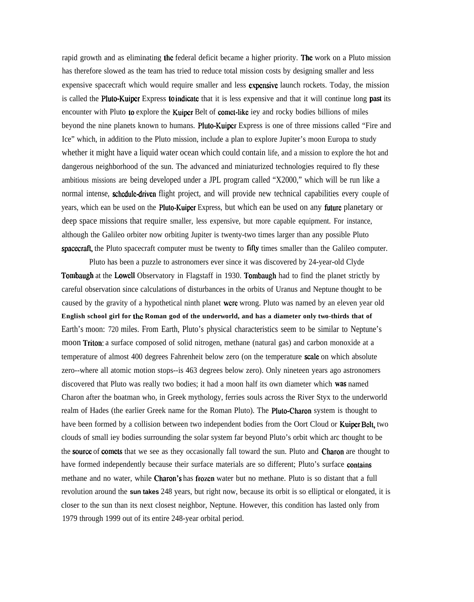rapid growth and as eliminating the federal deficit became a higher priority. The work on a Pluto mission has therefore slowed as the team has tried to reduce total mission costs by designing smaller and less expensive spacecraft which would require smaller and less expensive launch rockets. Today, the mission is called the **Pluto-Kuiper** Express **to indicate** that it is less expensive and that it will continue long **past** its encounter with Pluto to explore the Kuiper Belt of comet-like iey and rocky bodies billions of miles beyond the nine planets known to humans. Pluto-Kuiper Express is one of three missions called "Fire and Ice" which, in addition to the Pluto mission, include a plan to explore Jupiter's moon Europa to study whether it might have a liquid water ocean which could contain life, and a mission to explore the hot and dangerous neighborhood of the sun. The advanced and miniaturized technologies required to fly these ambitious missions are being developed under a JPL program called "X2000," which will be run like a normal intense, schedule-driven flight project, and will provide new technical capabilities every couple of years, which ean be used on the Pluto-Kuiper Express, but which ean be used on any future planetary or deep space missions that require smaller, less expensive, but more capable equipment. For instance, although the Galileo orbiter now orbiting Jupiter is twenty-two times larger than any possible Pluto spacecraft, the Pluto spacecraft computer must be twenty to fifty times smaller than the Galileo computer.

Pluto has been a puzzle to astronomers ever since it was discovered by 24-year-old Clyde Tombaugh at the Lowell Observatory in Flagstaff in 1930. Tombaugh had to find the planet strictly by careful observation since calculations of disturbances in the orbits of Uranus and Neptune thought to be caused by the gravity of a hypothetical ninth planet were wrong. Pluto was named by an eleven year old **English school girl for the Roman god of the underworld, and has a diameter only two-thirds that of** Earth's moon: 720 miles. From Earth, Pluto's physical characteristics seem to be similar to Neptune's moon Triton: a surface composed of solid nitrogen, methane (natural gas) and carbon monoxide at a temperature of almost 400 degrees Fahrenheit below zero (on the temperature scale on which absolute zero--where all atomic motion stops--is 463 degrees below zero). Only nineteen years ago astronomers discovered that Pluto was really two bodies; it had a moon half its own diameter which was named Charon after the boatman who, in Greek mythology, ferries souls across the River Styx to the underworld realm of Hades (the earlier Greek name for the Roman Pluto). The **Pluto-Charon** system is thought to have been formed by a collision between two independent bodies from the Oort Cloud or Kuiper Belt, two clouds of small iey bodies surrounding the solar system far beyond Pluto's orbit which arc thought to be the **source** of **comets** that we see as they occasionally fall toward the sun. Pluto and **Charon** are thought to have formed independently because their surface materials are so different; Pluto's surface contains methane and no water, while Charon's has frozen water but no methane. Pluto is so distant that a full revolution around the **sun takes** 248 years, but right now, because its orbit is so elliptical or elongated, it is closer to the sun than its next closest neighbor, Neptune. However, this condition has lasted only from 1979 through 1999 out of its entire 248-year orbital period.